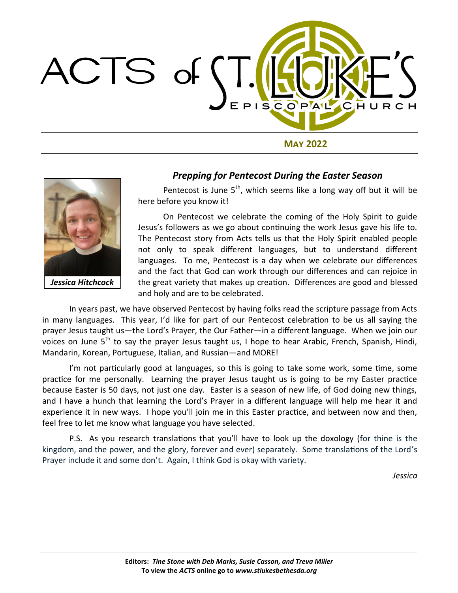

**May 2022**



*Jessica Hitchcock*

### *Prepping for Pentecost During the Easter Season*

Pentecost is June  $5<sup>th</sup>$ , which seems like a long way off but it will be here before you know it!

On Pentecost we celebrate the coming of the Holy Spirit to guide Jesus's followers as we go about continuing the work Jesus gave his life to. The Pentecost story from Acts tells us that the Holy Spirit enabled people not only to speak different languages, but to understand different languages. To me, Pentecost is a day when we celebrate our differences and the fact that God can work through our differences and can rejoice in the great variety that makes up creation. Differences are good and blessed and holy and are to be celebrated.

In years past, we have observed Pentecost by having folks read the scripture passage from Acts in many languages. This year, I'd like for part of our Pentecost celebration to be us all saying the prayer Jesus taught us—the Lord's Prayer, the Our Father—in a different language. When we join our voices on June 5<sup>th</sup> to say the prayer Jesus taught us, I hope to hear Arabic, French, Spanish, Hindi, Mandarin, Korean, Portuguese, Italian, and Russian—and MORE!

I'm not particularly good at languages, so this is going to take some work, some time, some practice for me personally. Learning the prayer Jesus taught us is going to be my Easter practice because Easter is 50 days, not just one day. Easter is a season of new life, of God doing new things, and I have a hunch that learning the Lord's Prayer in a different language will help me hear it and experience it in new ways. I hope you'll join me in this Easter practice, and between now and then, feel free to let me know what language you have selected.

P.S. As you research translations that you'll have to look up the doxology (for thine is the kingdom, and the power, and the glory, forever and ever) separately. Some translations of the Lord's Prayer include it and some don't. Again, I think God is okay with variety.

*Jessica*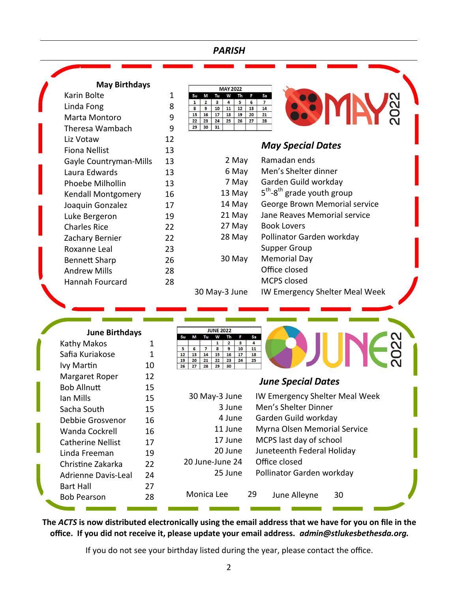## *PARISH*

| <b>May Birthdays</b>     |    |          | <b>MAY 2022</b>                                                                                              |                                          |
|--------------------------|----|----------|--------------------------------------------------------------------------------------------------------------|------------------------------------------|
| Karin Bolte              |    | 1        | W<br>Su<br>M<br>Tu<br>Th<br>F                                                                                | Sa                                       |
| Linda Fong               |    | 8        | 6<br>$\overline{2}$<br>$\mathbf{3}$<br>$\overline{a}$<br>5<br>$\mathbf{1}$<br>11<br>12<br>13<br>8<br>9<br>10 | <b>SZO</b><br>$\overline{7}$<br>14       |
| Marta Montoro            |    | 9        | 16<br>20<br>15<br>17<br>18<br>19<br>22<br>23<br>24<br>25<br>26<br>27                                         | 21<br>28                                 |
| Theresa Wambach          |    | 9        | 29<br>30<br>31                                                                                               |                                          |
| Liz Votaw                |    | 12       |                                                                                                              |                                          |
| <b>Fiona Nellist</b>     |    | 13       |                                                                                                              | <b>May Special Dates</b>                 |
| Gayle Countryman-Mills   |    | 13       | 2 May                                                                                                        | Ramadan ends                             |
| Laura Edwards            |    | 13       | 6 May                                                                                                        | Men's Shelter dinner                     |
| Phoebe Milhollin         |    | 13       | 7 May                                                                                                        | Garden Guild workday                     |
| Kendall Montgomery       |    | 16       | 13 May                                                                                                       | $5th$ -8 <sup>th</sup> grade youth group |
| Joaquin Gonzalez         |    | 17       | 14 May                                                                                                       | George Brown Memorial service            |
| Luke Bergeron            |    | 19       | 21 May                                                                                                       | Jane Reaves Memorial service             |
| <b>Charles Rice</b>      |    | 22       | 27 May                                                                                                       | <b>Book Lovers</b>                       |
| Zachary Bernier          |    | 22       | 28 May                                                                                                       | Pollinator Garden workday                |
| Roxanne Leal             |    | 23       |                                                                                                              | <b>Supper Group</b>                      |
| <b>Bennett Sharp</b>     |    | 26       | 30 May                                                                                                       | <b>Memorial Day</b>                      |
| <b>Andrew Mills</b>      |    | 28       |                                                                                                              | Office closed                            |
| <b>Hannah Fourcard</b>   |    | 28       |                                                                                                              | MCPS closed                              |
|                          |    |          |                                                                                                              |                                          |
| <b>June Birthdays</b>    |    | Su       | <b>JUNE 2022</b><br>Sa<br>M<br>Tu<br>W<br>Th<br>F                                                            |                                          |
| Kathy Makos              | 1  | 5        | $\mathbf{1}$<br>$\overline{\mathbf{2}}$<br>$\mathbf{3}$<br>4<br>6<br>$\overline{7}$<br>8<br>10<br>11<br>9    |                                          |
| Safia Kuriakose          | 1  | 12<br>19 | 13<br>16<br>14<br>15<br>17<br>18<br>20<br>21<br>22<br>24<br>23<br>25                                         |                                          |
| Ivy Martin               | 10 | 26       | 27<br>28<br>29<br>30                                                                                         |                                          |
| Margaret Roper           | 12 |          |                                                                                                              | <b>June Special Dates</b>                |
| <b>Bob Allnutt</b>       | 15 |          |                                                                                                              |                                          |
| Ian Mills                | 15 |          | 30 May-3 June                                                                                                | IW Emergency Shelter Meal Week           |
| Sacha South              | 15 |          | 3 June                                                                                                       | Men's Shelter Dinner                     |
| Debbie Grosvenor         | 16 |          | 4 June                                                                                                       | Garden Guild workday                     |
| <b>Wanda Cockrell</b>    | 16 |          | 11 June                                                                                                      | Myrna Olsen Memorial Service             |
| <b>Catherine Nellist</b> | 17 |          | 17 June                                                                                                      | MCPS last day of school                  |
| Linda Freeman            | 19 |          | 20 June                                                                                                      | Juneteenth Federal Holiday               |
| Christine Zakarka        | 22 |          | 20 June-June 24                                                                                              | Office closed                            |
| Adrienne Davis-Leal      | 24 |          | 25 June                                                                                                      | Pollinator Garden workday                |

**The** *ACTS* **is now distributed electronically using the email address that we have for you on file in the office. If you did not receive it, please update your email address.** *admin@stlukesbethesda.org.*

Monica Lee 29 June Alleyne 30

Bart Hall 27 Bob Pearson 28

Z

If you do not see your birthday listed during the year, please contact the office*.*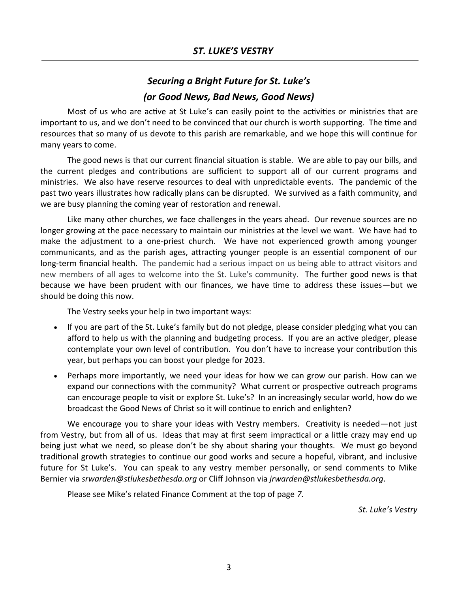## *ST. LUKE'S VESTRY*

# *Securing a Bright Future for St. Luke's (or Good News, Bad News, Good News)*

Most of us who are active at St Luke's can easily point to the activities or ministries that are important to us, and we don't need to be convinced that our church is worth supporting. The time and resources that so many of us devote to this parish are remarkable, and we hope this will continue for many years to come.

The good news is that our current financial situation is stable. We are able to pay our bills, and the current pledges and contributions are sufficient to support all of our current programs and ministries. We also have reserve resources to deal with unpredictable events. The pandemic of the past two years illustrates how radically plans can be disrupted. We survived as a faith community, and we are busy planning the coming year of restoration and renewal.

Like many other churches, we face challenges in the years ahead. Our revenue sources are no longer growing at the pace necessary to maintain our ministries at the level we want. We have had to make the adjustment to a one-priest church. We have not experienced growth among younger communicants, and as the parish ages, attracting younger people is an essential component of our long-term financial health. The pandemic had a serious impact on us being able to attract visitors and new members of all ages to welcome into the St. Luke's community. The further good news is that because we have been prudent with our finances, we have time to address these issues—but we should be doing this now.

The Vestry seeks your help in two important ways:

- If you are part of the St. Luke's family but do not pledge, please consider pledging what you can afford to help us with the planning and budgeting process. If you are an active pledger, please contemplate your own level of contribution. You don't have to increase your contribution this year, but perhaps you can boost your pledge for 2023.
- Perhaps more importantly, we need your ideas for how we can grow our parish. How can we expand our connections with the community? What current or prospective outreach programs can encourage people to visit or explore St. Luke's? In an increasingly secular world, how do we broadcast the Good News of Christ so it will continue to enrich and enlighten?

We encourage you to share your ideas with Vestry members. Creativity is needed—not just from Vestry, but from all of us. Ideas that may at first seem impractical or a little crazy may end up being just what we need, so please don't be shy about sharing your thoughts. We must go beyond traditional growth strategies to continue our good works and secure a hopeful, vibrant, and inclusive future for St Luke's. You can speak to any vestry member personally, or send comments to Mike Bernier via *srwarden@stlukesbethesda.org* or Cliff Johnson via *jrwarden@stlukesbethesda.org*.

Please see Mike's related Finance Comment at the top of page *7.*

*St. Luke's Vestry*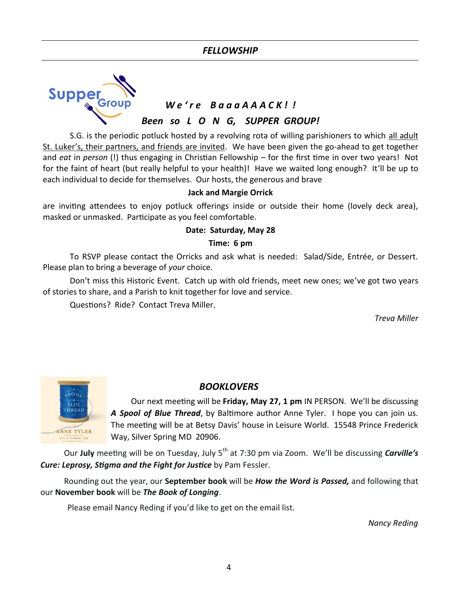## *FELLOWSHIP*



S.G. is the periodic potluck hosted by a revolving rota of willing parishioners to which all adult St. Luker's, their partners, and friends are invited. We have been given the go-ahead to get together and *eat* in *person* (!) thus engaging in Christian Fellowship – for the first time in over two years! Not for the faint of heart (but really helpful to your health)! Have we waited long enough? It'll be up to each individual to decide for themselves. Our hosts, the generous and brave

#### **Jack and Margie Orrick**

are inviting attendees to enjoy potluck offerings inside or outside their home (lovely deck area), masked or unmasked. Participate as you feel comfortable.

#### **Date: Saturday, May 28**

#### **Time: 6 pm**

To RSVP please contact the Orricks and ask what is needed: Salad/Side, Entrée, or Dessert. Please plan to bring a beverage of *your* choice.

Don't miss this Historic Event. Catch up with old friends, meet new ones; we've got two years of stories to share, and a Parish to knit together for love and service.

Questions? Ride? Contact Treva Miller.

*Treva Miller*



### *BOOKLOVERS*

Our next meeting will be **Friday, May 27, 1 pm** IN PERSON. We'll be discussing *A Spool of Blue Thread*, by Baltimore author Anne Tyler. I hope you can join us. The meeting will be at Betsy Davis' house in Leisure World. 15548 Prince Frederick Way, Silver Spring MD 20906.

Our **July** meeting will be on Tuesday, July 5th at 7:30 pm via Zoom. We'll be discussing *Carville's Cure: Leprosy, Stigma and the Fight for Justice* by Pam Fessler.

Rounding out the year, our **September book** will be *How the Word is Passed,* and following that our **November book** will be *The Book of Longing*.

Please email Nancy Reding if you'd like to get on the email list.

*Nancy Reding*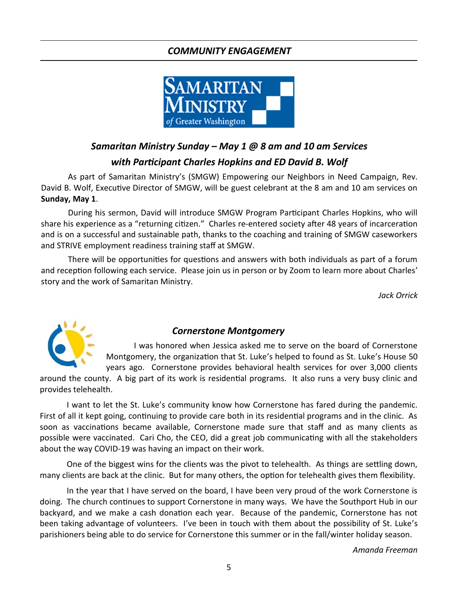## *COMMUNITY ENGAGEMENT*



# *Samaritan Ministry Sunday – May 1 @ 8 am and 10 am Services with Participant Charles Hopkins and ED David B. Wolf*

As part of Samaritan Ministry's (SMGW) Empowering our Neighbors in Need Campaign, Rev. David B. Wolf, Executive Director of SMGW, will be guest celebrant at the 8 am and 10 am services on **Sunday, May 1**.

During his sermon, David will introduce SMGW Program Participant Charles Hopkins, who will share his experience as a "returning citizen." Charles re-entered society after 48 years of incarceration and is on a successful and sustainable path, thanks to the coaching and training of SMGW caseworkers and STRIVE employment readiness training staff at SMGW.

There will be opportunities for questions and answers with both individuals as part of a forum and reception following each service. Please join us in person or by Zoom to learn more about Charles' story and the work of Samaritan Ministry.

*Jack Orrick*



## *Cornerstone Montgomery*

I was honored when Jessica asked me to serve on the board of Cornerstone Montgomery, the organization that St. Luke's helped to found as St. Luke's House 50 years ago. Cornerstone provides behavioral health services for over 3,000 clients

around the county. A big part of its work is residential programs. It also runs a very busy clinic and provides telehealth.

I want to let the St. Luke's community know how Cornerstone has fared during the pandemic. First of all it kept going, continuing to provide care both in its residential programs and in the clinic. As soon as vaccinations became available, Cornerstone made sure that staff and as many clients as possible were vaccinated. Cari Cho, the CEO, did a great job communicating with all the stakeholders about the way COVID-19 was having an impact on their work.

One of the biggest wins for the clients was the pivot to telehealth. As things are settling down, many clients are back at the clinic. But for many others, the option for telehealth gives them flexibility.

In the year that I have served on the board, I have been very proud of the work Cornerstone is doing. The church continues to support Cornerstone in many ways. We have the Southport Hub in our backyard, and we make a cash donation each year. Because of the pandemic, Cornerstone has not been taking advantage of volunteers. I've been in touch with them about the possibility of St. Luke's parishioners being able to do service for Cornerstone this summer or in the fall/winter holiday season.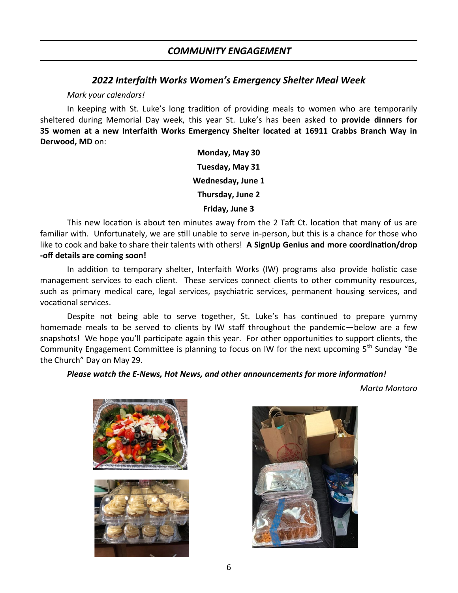### *2022 Interfaith Works Women's Emergency Shelter Meal Week*

#### *Mark your calendars!*

In keeping with St. Luke's long tradition of providing meals to women who are temporarily sheltered during Memorial Day week, this year St. Luke's has been asked to **provide dinners for 35 women at a new Interfaith Works Emergency Shelter located at 16911 Crabbs Branch Way in Derwood, MD** on:

> **Monday, May 30 Tuesday, May 31 Wednesday, June 1 Thursday, June 2 Friday, June 3**

This new location is about ten minutes away from the 2 Taft Ct. location that many of us are familiar with. Unfortunately, we are still unable to serve in-person, but this is a chance for those who like to cook and bake to share their talents with others! **A SignUp Genius and more coordination/drop -off details are coming soon!**

In addition to temporary shelter, Interfaith Works (IW) programs also provide holistic case management services to each client. These services connect clients to other community resources, such as primary medical care, legal services, psychiatric services, permanent housing services, and vocational services.

Despite not being able to serve together, St. Luke's has continued to prepare yummy homemade meals to be served to clients by IW staff throughout the pandemic—below are a few snapshots! We hope you'll participate again this year. For other opportunities to support clients, the Community Engagement Committee is planning to focus on IW for the next upcoming 5<sup>th</sup> Sunday "Be the Church" Day on May 29.

#### *Please watch the E-News, Hot News, and other announcements for more information!*

*Marta Montoro*





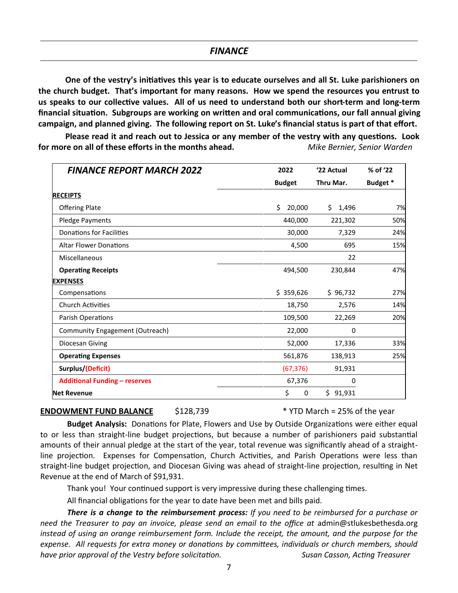**One of the vestry's initiatives this year is to educate ourselves and all St. Luke parishioners on the church budget. That's important for many reasons. How we spend the resources you entrust to us speaks to our collective values. All of us need to understand both our short-term and long-term financial situation. Subgroups are working on written and oral communications, our fall annual giving campaign, and planned giving. The following report on St. Luke's financial status is part of that effort.**

**Please read it and reach out to Jessica or any member of the vestry with any questions. Look for more on all of these efforts in the months ahead.** *Mike Bernier, Senior Warden*

| <b>FINANCE REPORT MARCH 2022</b>     | 2022          | '22 Actual   | % of '22 |
|--------------------------------------|---------------|--------------|----------|
|                                      | <b>Budget</b> | Thru Mar.    | Budget * |
| <b>RECEIPTS</b>                      |               |              |          |
| <b>Offering Plate</b>                | \$<br>20,000  | \$.<br>1,496 | 7%       |
| Pledge Payments                      | 440,000       | 221,302      | 50%      |
| <b>Donations for Facilities</b>      | 30,000        | 7,329        | 24%      |
| <b>Altar Flower Donations</b>        | 4,500         | 695          | 15%      |
| Miscellaneous                        |               | 22           |          |
| <b>Operating Receipts</b>            | 494,500       | 230,844      | 47%      |
| <b>EXPENSES</b>                      |               |              |          |
| Compensations                        | \$359,626     | \$96,732     | 27%      |
| <b>Church Activities</b>             | 18,750        | 2,576        | 14%      |
| Parish Operations                    | 109,500       | 22,269       | 20%      |
| Community Engagement (Outreach)      | 22,000        | 0            |          |
| Diocesan Giving                      | 52,000        | 17,336       | 33%      |
| <b>Operating Expenses</b>            | 561,876       | 138,913      | 25%      |
| Surplus/(Deficit)                    | (67, 376)     | 91,931       |          |
| <b>Additional Funding - reserves</b> | 67,376        | 0            |          |
| <b>Net Revenue</b>                   | \$<br>0       | Ś.<br>91,931 |          |

#### **ENDOWMENT FUND BALANCE** \$128,739 \* \* YTD March = 25% of the year

**Budget Analysis:** Donations for Plate, Flowers and Use by Outside Organizations were either equal to or less than straight-line budget projections, but because a number of parishioners paid substantial amounts of their annual pledge at the start of the year, total revenue was significantly ahead of a straightline projection. Expenses for Compensation, Church Activities, and Parish Operations were less than straight-line budget projection, and Diocesan Giving was ahead of straight-line projection, resulting in Net Revenue at the end of March of \$91,931.

Thank you! Your continued support is very impressive during these challenging times.

All financial obligations for the year to date have been met and bills paid.

*There is a change to the reimbursement process: If you need to be reimbursed for a purchase or*  need the Treasurer to pay an invoice, please send an email to the office at admin@stlukesbethesda.org *instead of using an orange reimbursement form. Include the receipt, the amount, and the purpose for the expense. All requests for extra money or donations by committees, individuals or church members, should have prior approval of the Vestry before solicitation. Susan Casson, Acting Treasurer*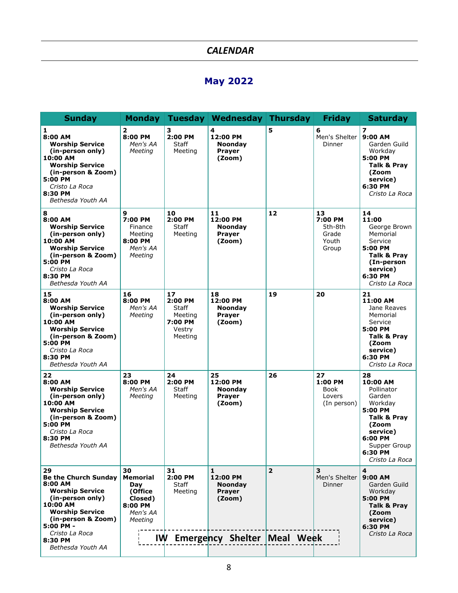## *CALENDAR*

# **May 2022**

| <b>Sunday</b>                                                                                                                                                                                    | <b>Monday</b>                                                                        |                                                                          | Tuesday   Wednesday   Thursday                                                        |                | <b>Friday</b>                                       | <b>Saturday</b>                                                                                                                                          |
|--------------------------------------------------------------------------------------------------------------------------------------------------------------------------------------------------|--------------------------------------------------------------------------------------|--------------------------------------------------------------------------|---------------------------------------------------------------------------------------|----------------|-----------------------------------------------------|----------------------------------------------------------------------------------------------------------------------------------------------------------|
| 1<br>8:00 AM<br><b>Worship Service</b><br>(in-person only)<br>10:00 AM<br><b>Worship Service</b><br>(in-person & Zoom)<br>5:00 PM<br>Cristo La Roca<br>8:30 PM<br>Bethesda Youth AA              | $\overline{\mathbf{2}}$<br>8:00 PM<br>Men's AA<br>Meeting                            | з<br>2:00 PM<br>Staff<br>Meeting                                         | 4<br>12:00 PM<br><b>Noonday</b><br>Prayer<br>(Zoom)                                   | 5              | 6<br>Men's Shelter<br>Dinner                        | 7<br>9:00 AM<br>Garden Guild<br>Workday<br>5:00 PM<br>Talk & Pray<br>(Zoom<br>service)<br>6:30 PM<br>Cristo La Roca                                      |
| 8<br>8:00 AM<br><b>Worship Service</b><br>(in-person only)<br>10:00 AM<br><b>Worship Service</b><br>(in-person & Zoom)<br>5:00 PM<br>Cristo La Roca<br>8:30 PM<br>Bethesda Youth AA              | 9<br>7:00 PM<br>Finance<br>Meeting<br>8:00 PM<br>Men's AA<br>Meeting                 | 10<br>2:00 PM<br>Staff<br>Meeting                                        | 11<br>12:00 PM<br><b>Noonday</b><br><b>Prayer</b><br>(Zoom)                           | 12             | 13<br>7:00 PM<br>5th-8th<br>Grade<br>Youth<br>Group | 14<br>11:00<br>George Brown<br>Memorial<br>Service<br>5:00 PM<br>Talk & Pray<br>(In-person<br>service)<br>6:30 PM<br>Cristo La Roca                      |
| 15<br>8:00 AM<br><b>Worship Service</b><br>(in-person only)<br>10:00 AM<br><b>Worship Service</b><br>(in-person & Zoom)<br>5:00 PM<br>Cristo La Roca<br>8:30 PM<br>Bethesda Youth AA             | 16<br>8:00 PM<br>Men's AA<br>Meeting                                                 | 17<br>2:00 PM<br><b>Staff</b><br>Meeting<br>7:00 PM<br>Vestry<br>Meeting | 18<br>12:00 PM<br><b>Noonday</b><br>Prayer<br>(Zoom)                                  | 19             | 20                                                  | 21<br>11:00 AM<br>Jane Reaves<br>Memorial<br>Service<br>5:00 PM<br>Talk & Pray<br>(Zoom<br>service)<br>6:30 PM<br>Cristo La Roca                         |
| 22<br>8:00 AM<br><b>Worship Service</b><br>(in-person only)<br>10:00 AM<br><b>Worship Service</b><br>(in-person & Zoom)<br>5:00 PM<br>Cristo La Roca<br>8:30 PM<br>Bethesda Youth AA             | 23<br>8:00 PM<br>Men's AA<br>Meeting                                                 | 24<br>2:00 PM<br>Staff<br>Meeting                                        | 25<br>12:00 PM<br><b>Noonday</b><br>Prayer<br>(Zoom)                                  | 26             | 27<br>1:00 PM<br>Book<br>Lovers<br>(In person)      | 28<br>10:00 AM<br>Pollinator<br>Garden<br>Workday<br>5:00 PM<br>Talk & Pray<br>(Zoom<br>service)<br>6:00 PM<br>Supper Group<br>6:30 PM<br>Cristo La Roca |
| 29<br><b>Be the Church Sunday</b><br>8:00 AM<br><b>Worship Service</b><br>(in-person only)<br>10:00 AM<br><b>Worship Service</b><br>(in-person & Zoom)<br>5:00 PM -<br>Cristo La Roca<br>8:30 PM | 30<br><b>Memorial</b><br>Day<br>(Office<br>Closed)<br>8:00 PM<br>Men's AA<br>Meeting | 31<br>2:00 PM<br>Staff<br>Meeting                                        | 1<br>12:00 PM<br><b>Noondav</b><br>Prayer<br>(Zoom)<br>IW Emergency Shelter Meal Week | $\overline{2}$ | 3<br>Men's Shelter<br>Dinner                        | 4<br>$9:00$ AM<br>Garden Guild<br>Workday<br>5:00 PM<br>Talk & Pray<br>(Zoom<br>service)<br>6:30 PM<br>Cristo La Roca                                    |
| Bethesda Youth AA                                                                                                                                                                                |                                                                                      |                                                                          |                                                                                       |                |                                                     |                                                                                                                                                          |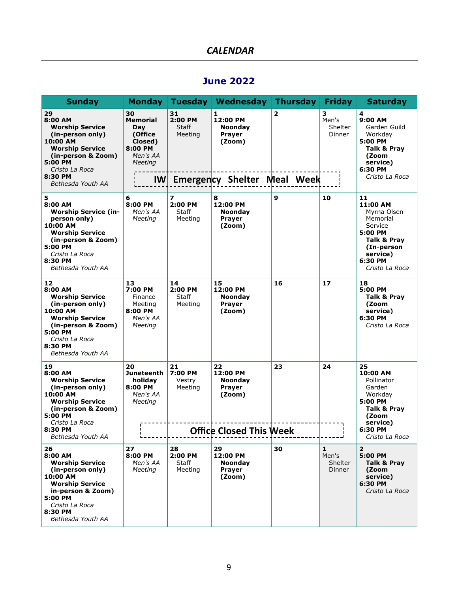# *CALENDAR*

# **June 2022**

| <b>Sunday</b>                                                                                                                                                                        | Monday                                                                                            |                                          | Tuesday   Wednesday   Thursday                                                                   |                | <b>Friday</b>                                            | <b>Saturday</b>                                                                                                                       |
|--------------------------------------------------------------------------------------------------------------------------------------------------------------------------------------|---------------------------------------------------------------------------------------------------|------------------------------------------|--------------------------------------------------------------------------------------------------|----------------|----------------------------------------------------------|---------------------------------------------------------------------------------------------------------------------------------------|
| 29<br>8:00 AM<br><b>Worship Service</b><br>(in-person only)<br>10:00 AM<br><b>Worship Service</b><br>(in-person & Zoom)<br>5:00 PM<br>Cristo La Roca<br>8:30 PM<br>Bethesda Youth AA | 30<br><b>Memorial</b><br>Day<br>(Office<br>Closed)<br>8:00 PM<br>Men's AA<br>Meeting<br><b>IW</b> | 31<br>2:00 PM<br>Staff<br>Meeting        | 1<br>12:00 PM<br><b>Noonday</b><br><b>Prayer</b><br>(Zoom)<br><b>Emergency Shelter Meal Week</b> | $\overline{2}$ | з<br>Men's<br>Shelter<br>Dinner                          | 4<br>9:00 AM<br>Garden Guild<br>Workday<br>5:00 PM<br>Talk & Pray<br>(Zoom<br>service)<br>6:30 PM<br>Cristo La Roca                   |
| 5<br>8:00 AM<br><b>Worship Service (in-</b><br>person only)<br>10:00 AM<br><b>Worship Service</b><br>(in-person & Zoom)<br>5:00 PM<br>Cristo La Roca<br>8:30 PM<br>Bethesda Youth AA | 6<br>8:00 PM<br>Men's AA<br>Meeting                                                               | 7<br>2:00 PM<br>Staff<br>Meeting         | 8<br>12:00 PM<br><b>Noonday</b><br><b>Prayer</b><br>(Zoom)                                       | 9              | 10                                                       | 11<br>11:00 AM<br>Myrna Olsen<br>Memorial<br>Service<br>5:00 PM<br>Talk & Pray<br>(In-person<br>service)<br>6:30 PM<br>Cristo La Roca |
| 12<br>8:00 AM<br><b>Worship Service</b><br>(in-person only)<br>10:00 AM<br><b>Worship Service</b><br>(in-person & Zoom)<br>5:00 PM<br>Cristo La Roca<br>8:30 PM<br>Bethesda Youth AA | 13<br>7:00 PM<br>Finance<br>Meeting<br>8:00 PM<br>Men's AA<br>Meeting                             | 14<br>2:00 PM<br><b>Staff</b><br>Meeting | 15<br>12:00 PM<br><b>Noonday</b><br><b>Prayer</b><br>(Zoom)                                      | 16             | 17                                                       | 18<br>5:00 PM<br>Talk & Pray<br>(Zoom<br>service)<br>6:30 PM<br>Cristo La Roca                                                        |
| 19<br>8:00 AM<br><b>Worship Service</b><br>(in-person only)<br>10:00 AM<br><b>Worship Service</b><br>(in-person & Zoom)<br>5:00 PM<br>Cristo La Roca<br>8:30 PM<br>Bethesda Youth AA | 20<br>Juneteenth<br>holiday<br>8:00 PM<br>Men's AA<br>Meeting                                     | 21<br>7:00 PM<br>Vestry<br>Meeting       | 22<br>12:00 PM<br><b>Noonday</b><br><b>Prayer</b><br>(Zoom)<br><b>Office Closed This Week</b>    | 23             | 24                                                       | 25<br>10:00 AM<br>Pollinator<br>Garden<br>Workday<br>5:00 PM<br>Talk & Pray<br>(Zoom<br>service)<br>6:30 PM<br>Cristo La Roca         |
| 26<br>8:00 AM<br><b>Worship Service</b><br>(in-person only)<br>10:00 AM<br><b>Worship Service</b><br>in-person & Zoom)<br>5:00 PM<br>Cristo La Roca<br>8:30 PM<br>Bethesda Youth AA  | 27<br>8:00 PM<br>Men's AA<br>Meeting                                                              | 28<br>2:00 PM<br><b>Staff</b><br>Meeting | 29<br>12:00 PM<br><b>Noondav</b><br>Prayer<br>(Zoom)                                             | 30             | $\mathbf{1}$<br>Men's<br><b>Shelter</b><br><b>Dinner</b> | $\overline{2}$<br>5:00 PM<br><b>Talk &amp; Pray</b><br>(Zoom<br>service)<br>6:30 PM<br>Cristo La Roca                                 |